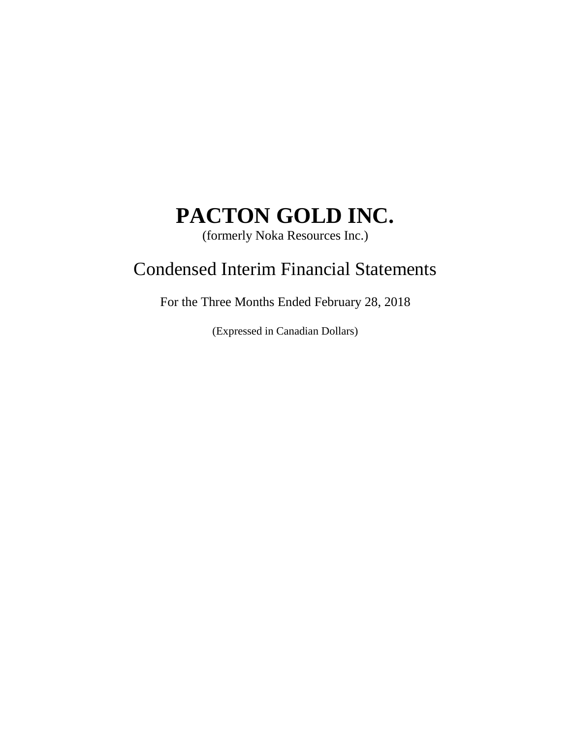(formerly Noka Resources Inc.)

## Condensed Interim Financial Statements

For the Three Months Ended February 28, 2018

(Expressed in Canadian Dollars)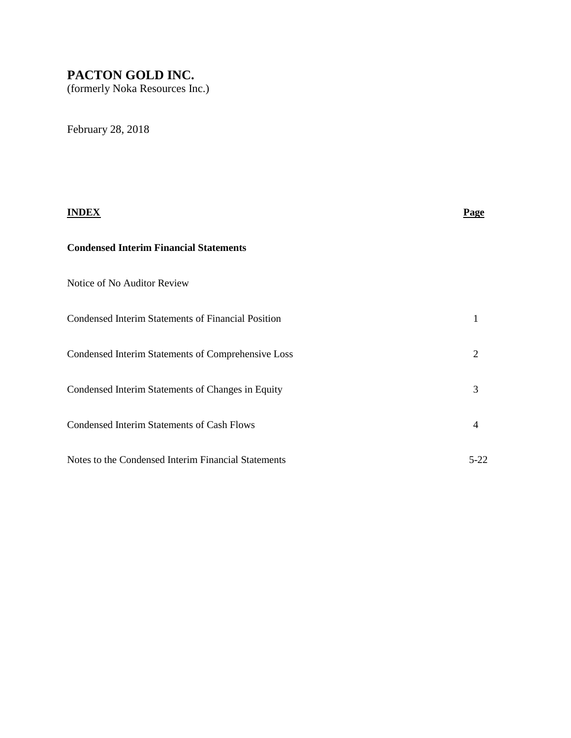(formerly Noka Resources Inc.)

February 28, 2018

# **INDEX Page Condensed Interim Financial Statements** Notice of No Auditor Review Condensed Interim Statements of Financial Position 1 Condensed Interim Statements of Comprehensive Loss 2 Condensed Interim Statements of Changes in Equity 3 Condensed Interim Statements of Cash Flows 4 Notes to the Condensed Interim Financial Statements 5-22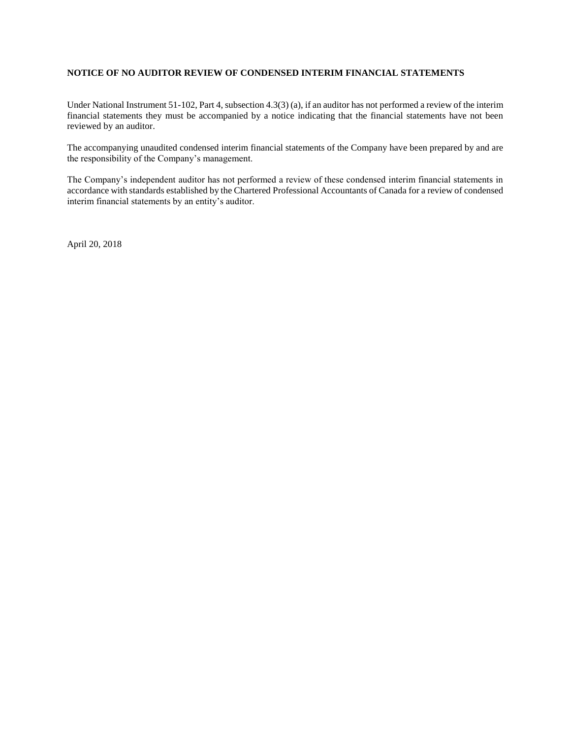#### **NOTICE OF NO AUDITOR REVIEW OF CONDENSED INTERIM FINANCIAL STATEMENTS**

Under National Instrument 51-102, Part 4, subsection 4.3(3) (a), if an auditor has not performed a review of the interim financial statements they must be accompanied by a notice indicating that the financial statements have not been reviewed by an auditor.

The accompanying unaudited condensed interim financial statements of the Company have been prepared by and are the responsibility of the Company's management.

The Company's independent auditor has not performed a review of these condensed interim financial statements in accordance with standards established by the Chartered Professional Accountants of Canada for a review of condensed interim financial statements by an entity's auditor.

April 20, 2018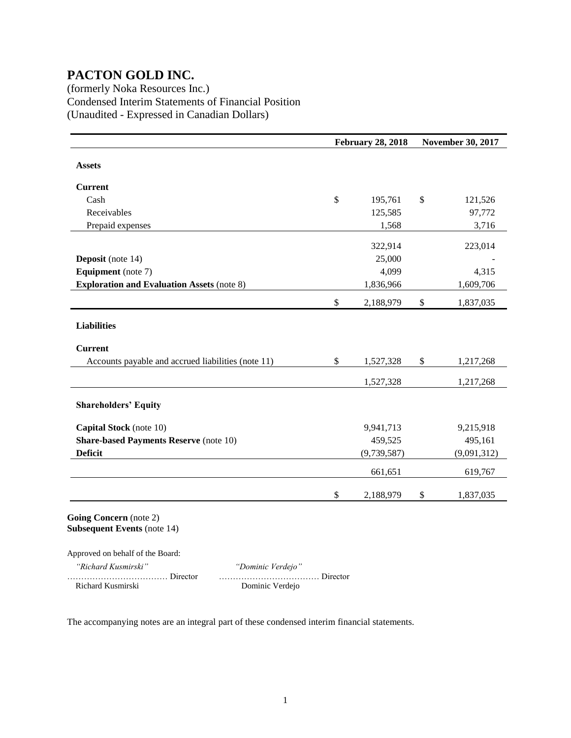(formerly Noka Resources Inc.) Condensed Interim Statements of Financial Position (Unaudited - Expressed in Canadian Dollars)

|                                                    |              | <b>February 28, 2018</b> |      | <b>November 30, 2017</b> |  |
|----------------------------------------------------|--------------|--------------------------|------|--------------------------|--|
| <b>Assets</b>                                      |              |                          |      |                          |  |
| <b>Current</b>                                     |              |                          |      |                          |  |
| Cash                                               | $\mathbb{S}$ | 195,761                  | \$   | 121,526                  |  |
| Receivables                                        |              | 125,585                  |      | 97,772                   |  |
| Prepaid expenses                                   |              | 1,568                    |      | 3,716                    |  |
|                                                    |              | 322,914                  |      | 223,014                  |  |
| <b>Deposit</b> (note 14)                           |              | 25,000                   |      |                          |  |
| <b>Equipment</b> (note 7)                          |              | 4,099                    |      | 4,315                    |  |
| <b>Exploration and Evaluation Assets (note 8)</b>  |              | 1,836,966                |      | 1,609,706                |  |
|                                                    | \$           | 2,188,979                | $\$$ | 1,837,035                |  |
| <b>Liabilities</b>                                 |              |                          |      |                          |  |
| <b>Current</b>                                     |              |                          |      |                          |  |
| Accounts payable and accrued liabilities (note 11) | \$           | 1,527,328                | $\$$ | 1,217,268                |  |
|                                                    |              | 1,527,328                |      | 1,217,268                |  |
| <b>Shareholders' Equity</b>                        |              |                          |      |                          |  |
| Capital Stock (note 10)                            |              | 9,941,713                |      | 9,215,918                |  |
| <b>Share-based Payments Reserve (note 10)</b>      |              | 459,525                  |      | 495,161                  |  |
| <b>Deficit</b>                                     |              | (9,739,587)              |      | (9,091,312)              |  |
|                                                    |              | 661,651                  |      | 619,767                  |  |
|                                                    | \$           | 2,188,979                | \$   | 1,837,035                |  |

**Subsequent Events** (note 14)

Approved on behalf of the Board:

| "Richard Kusmirski" | "Dominic Verdejo" |
|---------------------|-------------------|
|                     |                   |
| Richard Kusmirski   | Dominic Verdejo   |

 *"Richard Kusmirski" "Dominic Verdejo"* ……………………………… Director ……………………………… Director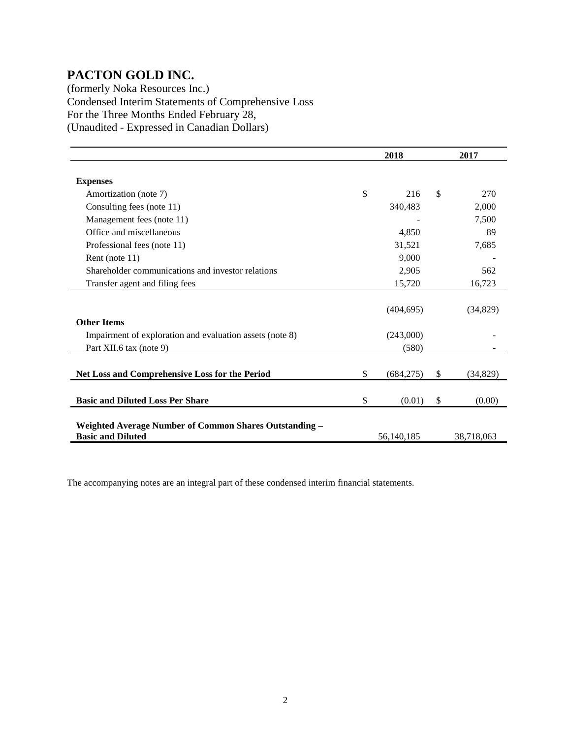(formerly Noka Resources Inc.) Condensed Interim Statements of Comprehensive Loss For the Three Months Ended February 28, (Unaudited - Expressed in Canadian Dollars)

|                                                                                    | 2018 |            | 2017          |            |
|------------------------------------------------------------------------------------|------|------------|---------------|------------|
| <b>Expenses</b>                                                                    |      |            |               |            |
| Amortization (note 7)                                                              | \$   | 216        | <sup>\$</sup> | 270        |
| Consulting fees (note 11)                                                          |      | 340,483    |               | 2,000      |
| Management fees (note 11)                                                          |      |            |               | 7,500      |
| Office and miscellaneous                                                           |      | 4,850      |               | 89         |
| Professional fees (note 11)                                                        |      | 31,521     |               | 7,685      |
| Rent (note 11)                                                                     |      | 9,000      |               |            |
| Shareholder communications and investor relations                                  |      | 2,905      |               | 562        |
| Transfer agent and filing fees                                                     |      | 15,720     |               | 16,723     |
| <b>Other Items</b>                                                                 |      | (404, 695) |               | (34,829)   |
| Impairment of exploration and evaluation assets (note 8)                           |      | (243,000)  |               |            |
| Part XII.6 tax (note 9)                                                            |      | (580)      |               |            |
| Net Loss and Comprehensive Loss for the Period                                     | \$   | (684, 275) | \$            | (34, 829)  |
| <b>Basic and Diluted Loss Per Share</b>                                            | \$   | (0.01)     | \$            | (0.00)     |
| Weighted Average Number of Common Shares Outstanding -<br><b>Basic and Diluted</b> |      | 56,140,185 |               | 38,718,063 |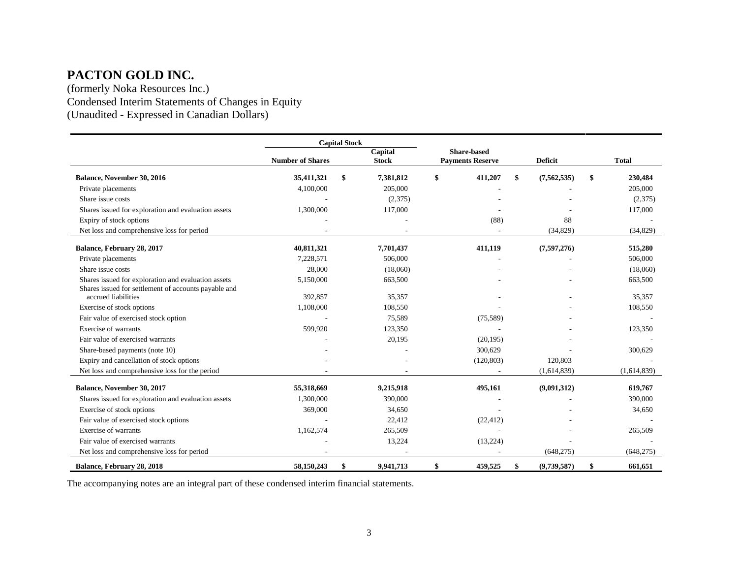(formerly Noka Resources Inc.) Condensed Interim Statements of Changes in Equity (Unaudited - Expressed in Canadian Dollars)

|                                                                             | <b>Capital Stock</b>    |    |              |                         |                    |                   |               |
|-----------------------------------------------------------------------------|-------------------------|----|--------------|-------------------------|--------------------|-------------------|---------------|
|                                                                             |                         |    | Capital      |                         | <b>Share-based</b> |                   |               |
|                                                                             | <b>Number of Shares</b> |    | <b>Stock</b> | <b>Payments Reserve</b> |                    | <b>Deficit</b>    | <b>Total</b>  |
| Balance, November 30, 2016                                                  | 35,411,321              | \$ | 7,381,812    | \$                      | 411,207            | \$<br>(7,562,535) | \$<br>230,484 |
| Private placements                                                          | 4,100,000               |    | 205,000      |                         |                    |                   | 205,000       |
| Share issue costs                                                           |                         |    | (2,375)      |                         |                    |                   | (2,375)       |
| Shares issued for exploration and evaluation assets                         | 1,300,000               |    | 117,000      |                         |                    |                   | 117,000       |
| Expiry of stock options                                                     |                         |    |              |                         | (88)               | 88                |               |
| Net loss and comprehensive loss for period                                  |                         |    |              |                         |                    | (34, 829)         | (34,829)      |
| Balance, February 28, 2017                                                  | 40,811,321              |    | 7,701,437    |                         | 411,119            | (7,597,276)       | 515,280       |
| Private placements                                                          | 7,228,571               |    | 506,000      |                         |                    |                   | 506,000       |
| Share issue costs                                                           | 28,000                  |    | (18,060)     |                         |                    |                   | (18,060)      |
| Shares issued for exploration and evaluation assets                         | 5,150,000               |    | 663,500      |                         |                    |                   | 663,500       |
| Shares issued for settlement of accounts payable and<br>accrued liabilities |                         |    |              |                         |                    |                   |               |
|                                                                             | 392,857                 |    | 35,357       |                         |                    |                   | 35,357        |
| Exercise of stock options                                                   | 1,108,000               |    | 108,550      |                         |                    |                   | 108,550       |
| Fair value of exercised stock option                                        |                         |    | 75,589       |                         | (75, 589)          |                   |               |
| Exercise of warrants                                                        | 599,920                 |    | 123,350      |                         |                    |                   | 123,350       |
| Fair value of exercised warrants                                            |                         |    | 20,195       |                         | (20, 195)          |                   |               |
| Share-based payments (note 10)                                              |                         |    |              |                         | 300,629            |                   | 300,629       |
| Expiry and cancellation of stock options                                    |                         |    |              |                         | (120, 803)         | 120,803           |               |
| Net loss and comprehensive loss for the period                              |                         |    |              |                         |                    | (1,614,839)       | (1,614,839)   |
| Balance, November 30, 2017                                                  | 55,318,669              |    | 9,215,918    |                         | 495,161            | (9,091,312)       | 619,767       |
| Shares issued for exploration and evaluation assets                         | 1,300,000               |    | 390,000      |                         |                    |                   | 390,000       |
| Exercise of stock options                                                   | 369,000                 |    | 34,650       |                         |                    |                   | 34,650        |
| Fair value of exercised stock options                                       |                         |    | 22,412       |                         | (22, 412)          |                   |               |
| Exercise of warrants                                                        | 1,162,574               |    | 265,509      |                         |                    |                   | 265,509       |
| Fair value of exercised warrants                                            |                         |    | 13,224       |                         | (13,224)           |                   |               |
| Net loss and comprehensive loss for period                                  |                         |    |              |                         |                    | (648, 275)        | (648, 275)    |
| Balance, February 28, 2018                                                  | 58,150,243              | \$ | 9.941.713    | \$                      | 459,525            | \$<br>(9,739,587) | \$<br>661.651 |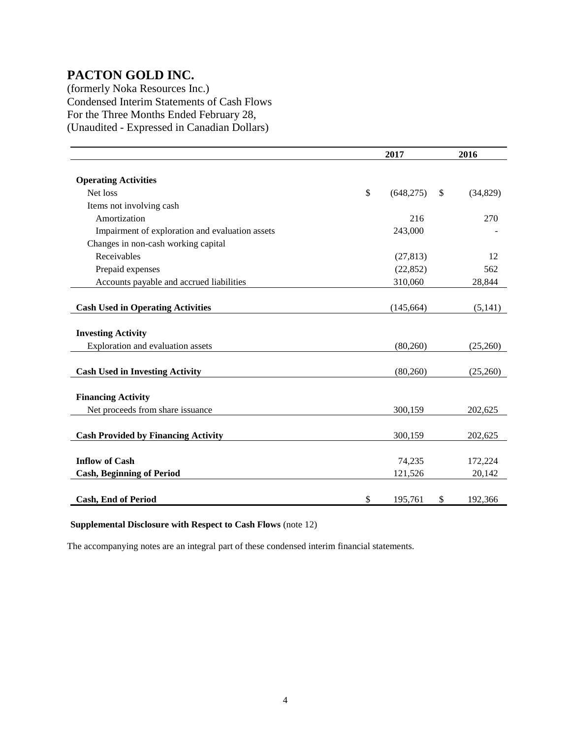(formerly Noka Resources Inc.) Condensed Interim Statements of Cash Flows For the Three Months Ended February 28, (Unaudited - Expressed in Canadian Dollars)

|                                                 | 2017         |            |               | 2016      |
|-------------------------------------------------|--------------|------------|---------------|-----------|
|                                                 |              |            |               |           |
| <b>Operating Activities</b>                     |              |            |               |           |
| Net loss                                        | $\mathbb{S}$ | (648, 275) | <sup>\$</sup> | (34, 829) |
| Items not involving cash                        |              |            |               |           |
| Amortization                                    |              | 216        |               | 270       |
| Impairment of exploration and evaluation assets |              | 243,000    |               |           |
| Changes in non-cash working capital             |              |            |               |           |
| Receivables                                     |              | (27, 813)  |               | 12        |
| Prepaid expenses                                |              | (22, 852)  |               | 562       |
| Accounts payable and accrued liabilities        |              | 310,060    |               | 28,844    |
|                                                 |              |            |               |           |
| <b>Cash Used in Operating Activities</b>        |              | (145, 664) |               | (5,141)   |
|                                                 |              |            |               |           |
| <b>Investing Activity</b>                       |              |            |               |           |
| Exploration and evaluation assets               |              | (80,260)   |               | (25,260)  |
|                                                 |              |            |               |           |
| <b>Cash Used in Investing Activity</b>          |              | (80, 260)  |               | (25,260)  |
|                                                 |              |            |               |           |
| <b>Financing Activity</b>                       |              |            |               |           |
| Net proceeds from share issuance                |              | 300,159    |               | 202,625   |
|                                                 |              |            |               |           |
| <b>Cash Provided by Financing Activity</b>      |              | 300,159    |               | 202,625   |
|                                                 |              |            |               |           |
| <b>Inflow of Cash</b>                           |              | 74,235     |               | 172,224   |
| <b>Cash, Beginning of Period</b>                |              | 121,526    |               | 20,142    |
|                                                 |              |            |               |           |
| <b>Cash, End of Period</b>                      | \$           | 195,761    | \$            | 192,366   |

#### **Supplemental Disclosure with Respect to Cash Flows** (note 12)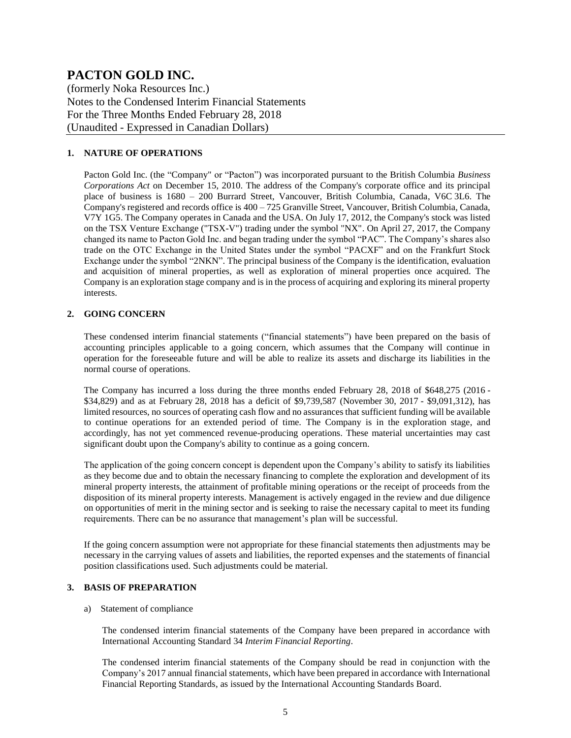(formerly Noka Resources Inc.) Notes to the Condensed Interim Financial Statements For the Three Months Ended February 28, 2018 (Unaudited - Expressed in Canadian Dollars)

#### **1. NATURE OF OPERATIONS**

Pacton Gold Inc. (the "Company" or "Pacton") was incorporated pursuant to the British Columbia *Business Corporations Act* on December 15, 2010. The address of the Company's corporate office and its principal place of business is 1680 – 200 Burrard Street, Vancouver, British Columbia, Canada, V6C 3L6. The Company's registered and records office is  $400 - 725$  Granville Street, Vancouver, British Columbia, Canada, V7Y 1G5. The Company operates in Canada and the USA. On July 17, 2012, the Company's stock was listed on the TSX Venture Exchange ("TSX-V") trading under the symbol "NX". On April 27, 2017, the Company changed its name to Pacton Gold Inc. and began trading under the symbol "PAC". The Company's shares also trade on the OTC Exchange in the United States under the symbol "PACXF" and on the Frankfurt Stock Exchange under the symbol "2NKN". The principal business of the Company is the identification, evaluation and acquisition of mineral properties, as well as exploration of mineral properties once acquired. The Company is an exploration stage company and is in the process of acquiring and exploring its mineral property interests.

#### **2. GOING CONCERN**

These condensed interim financial statements ("financial statements") have been prepared on the basis of accounting principles applicable to a going concern, which assumes that the Company will continue in operation for the foreseeable future and will be able to realize its assets and discharge its liabilities in the normal course of operations.

The Company has incurred a loss during the three months ended February 28, 2018 of \$648,275 (2016 - \$34,829) and as at February 28, 2018 has a deficit of \$9,739,587 (November 30, 2017 - \$9,091,312), has limited resources, no sources of operating cash flow and no assurances that sufficient funding will be available to continue operations for an extended period of time. The Company is in the exploration stage, and accordingly, has not yet commenced revenue-producing operations. These material uncertainties may cast significant doubt upon the Company's ability to continue as a going concern.

The application of the going concern concept is dependent upon the Company's ability to satisfy its liabilities as they become due and to obtain the necessary financing to complete the exploration and development of its mineral property interests, the attainment of profitable mining operations or the receipt of proceeds from the disposition of its mineral property interests. Management is actively engaged in the review and due diligence on opportunities of merit in the mining sector and is seeking to raise the necessary capital to meet its funding requirements. There can be no assurance that management's plan will be successful.

If the going concern assumption were not appropriate for these financial statements then adjustments may be necessary in the carrying values of assets and liabilities, the reported expenses and the statements of financial position classifications used. Such adjustments could be material.

#### **3. BASIS OF PREPARATION**

#### a) Statement of compliance

The condensed interim financial statements of the Company have been prepared in accordance with International Accounting Standard 34 *Interim Financial Reporting*.

The condensed interim financial statements of the Company should be read in conjunction with the Company's 2017 annual financial statements, which have been prepared in accordance with International Financial Reporting Standards, as issued by the International Accounting Standards Board.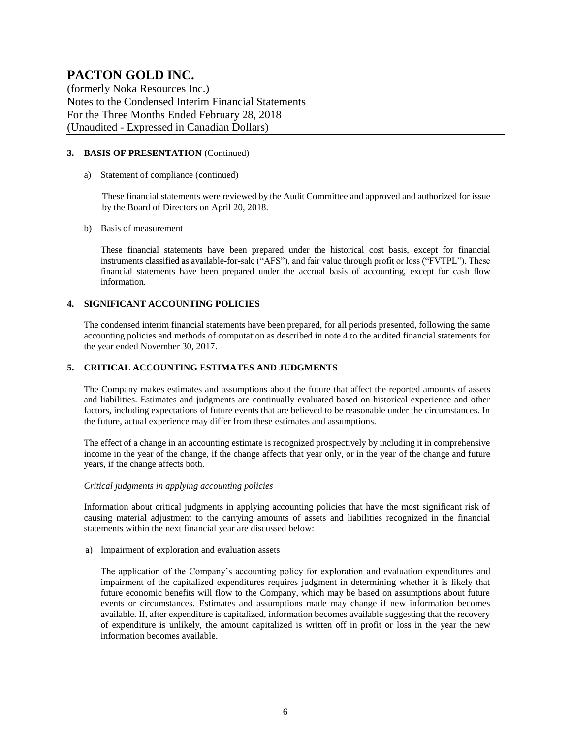(formerly Noka Resources Inc.) Notes to the Condensed Interim Financial Statements For the Three Months Ended February 28, 2018 (Unaudited - Expressed in Canadian Dollars)

#### **3. BASIS OF PRESENTATION** (Continued)

a) Statement of compliance (continued)

These financial statements were reviewed by the Audit Committee and approved and authorized for issue by the Board of Directors on April 20, 2018.

b) Basis of measurement

These financial statements have been prepared under the historical cost basis, except for financial instruments classified as available-for-sale ("AFS"), and fair value through profit or loss ("FVTPL"). These financial statements have been prepared under the accrual basis of accounting, except for cash flow information.

#### **4. SIGNIFICANT ACCOUNTING POLICIES**

The condensed interim financial statements have been prepared, for all periods presented, following the same accounting policies and methods of computation as described in note 4 to the audited financial statements for the year ended November 30, 2017.

#### **5. CRITICAL ACCOUNTING ESTIMATES AND JUDGMENTS**

The Company makes estimates and assumptions about the future that affect the reported amounts of assets and liabilities. Estimates and judgments are continually evaluated based on historical experience and other factors, including expectations of future events that are believed to be reasonable under the circumstances. In the future, actual experience may differ from these estimates and assumptions.

The effect of a change in an accounting estimate is recognized prospectively by including it in comprehensive income in the year of the change, if the change affects that year only, or in the year of the change and future years, if the change affects both.

#### *Critical judgments in applying accounting policies*

Information about critical judgments in applying accounting policies that have the most significant risk of causing material adjustment to the carrying amounts of assets and liabilities recognized in the financial statements within the next financial year are discussed below:

a) Impairment of exploration and evaluation assets

The application of the Company's accounting policy for exploration and evaluation expenditures and impairment of the capitalized expenditures requires judgment in determining whether it is likely that future economic benefits will flow to the Company, which may be based on assumptions about future events or circumstances. Estimates and assumptions made may change if new information becomes available. If, after expenditure is capitalized, information becomes available suggesting that the recovery of expenditure is unlikely, the amount capitalized is written off in profit or loss in the year the new information becomes available.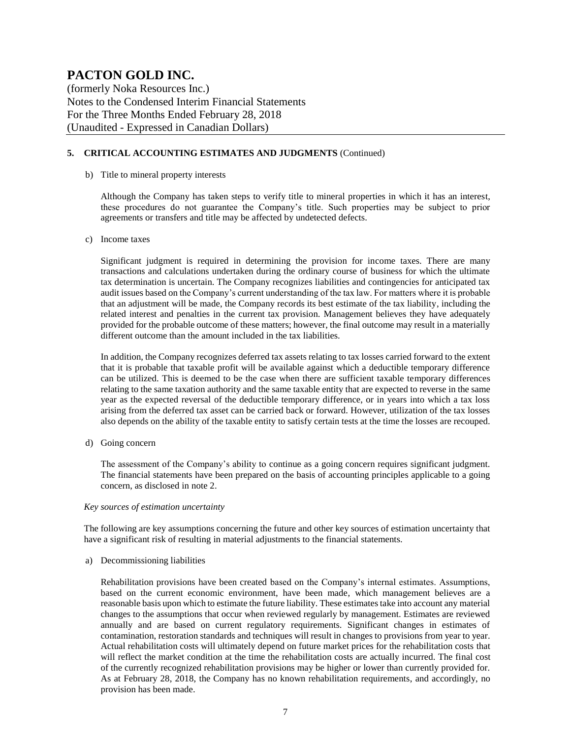(formerly Noka Resources Inc.) Notes to the Condensed Interim Financial Statements For the Three Months Ended February 28, 2018 (Unaudited - Expressed in Canadian Dollars)

#### **5. CRITICAL ACCOUNTING ESTIMATES AND JUDGMENTS** (Continued)

#### b) Title to mineral property interests

Although the Company has taken steps to verify title to mineral properties in which it has an interest, these procedures do not guarantee the Company's title. Such properties may be subject to prior agreements or transfers and title may be affected by undetected defects.

#### c) Income taxes

Significant judgment is required in determining the provision for income taxes. There are many transactions and calculations undertaken during the ordinary course of business for which the ultimate tax determination is uncertain. The Company recognizes liabilities and contingencies for anticipated tax audit issues based on the Company's current understanding of the tax law. For matters where it is probable that an adjustment will be made, the Company records its best estimate of the tax liability, including the related interest and penalties in the current tax provision. Management believes they have adequately provided for the probable outcome of these matters; however, the final outcome may result in a materially different outcome than the amount included in the tax liabilities.

In addition, the Company recognizes deferred tax assets relating to tax losses carried forward to the extent that it is probable that taxable profit will be available against which a deductible temporary difference can be utilized. This is deemed to be the case when there are sufficient taxable temporary differences relating to the same taxation authority and the same taxable entity that are expected to reverse in the same year as the expected reversal of the deductible temporary difference, or in years into which a tax loss arising from the deferred tax asset can be carried back or forward. However, utilization of the tax losses also depends on the ability of the taxable entity to satisfy certain tests at the time the losses are recouped.

d) Going concern

The assessment of the Company's ability to continue as a going concern requires significant judgment. The financial statements have been prepared on the basis of accounting principles applicable to a going concern, as disclosed in note 2.

#### *Key sources of estimation uncertainty*

The following are key assumptions concerning the future and other key sources of estimation uncertainty that have a significant risk of resulting in material adjustments to the financial statements.

a) Decommissioning liabilities

Rehabilitation provisions have been created based on the Company's internal estimates. Assumptions, based on the current economic environment, have been made, which management believes are a reasonable basis upon which to estimate the future liability. These estimates take into account any material changes to the assumptions that occur when reviewed regularly by management. Estimates are reviewed annually and are based on current regulatory requirements. Significant changes in estimates of contamination, restoration standards and techniques will result in changes to provisions from year to year. Actual rehabilitation costs will ultimately depend on future market prices for the rehabilitation costs that will reflect the market condition at the time the rehabilitation costs are actually incurred. The final cost of the currently recognized rehabilitation provisions may be higher or lower than currently provided for. As at February 28, 2018, the Company has no known rehabilitation requirements, and accordingly, no provision has been made.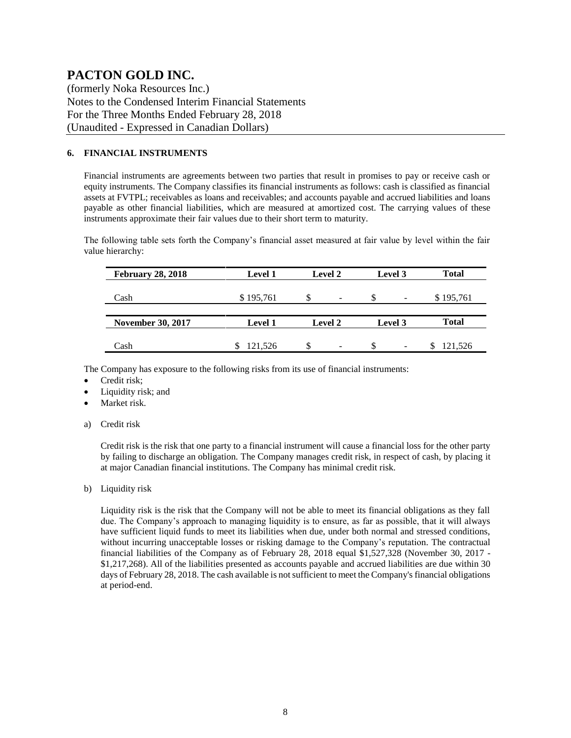(formerly Noka Resources Inc.) Notes to the Condensed Interim Financial Statements For the Three Months Ended February 28, 2018 (Unaudited - Expressed in Canadian Dollars)

#### **6. FINANCIAL INSTRUMENTS**

Financial instruments are agreements between two parties that result in promises to pay or receive cash or equity instruments. The Company classifies its financial instruments as follows: cash is classified as financial assets at FVTPL; receivables as loans and receivables; and accounts payable and accrued liabilities and loans payable as other financial liabilities, which are measured at amortized cost. The carrying values of these instruments approximate their fair values due to their short term to maturity.

The following table sets forth the Company's financial asset measured at fair value by level within the fair value hierarchy:

| <b>February 28, 2018</b> | <b>Level 1</b> | Level 2 | Level 3                         | <b>Total</b> |
|--------------------------|----------------|---------|---------------------------------|--------------|
| Cash                     | \$195,761      | -S<br>- | -S<br>$\overline{\phantom{0}}$  | \$195,761    |
|                          |                |         |                                 |              |
| <b>November 30, 2017</b> | <b>Level 1</b> | Level 2 | Level 3                         | <b>Total</b> |
|                          |                |         |                                 |              |
| Cash                     | 121,526        | \$.     | \$.<br>$\overline{\phantom{0}}$ | 121,526      |

The Company has exposure to the following risks from its use of financial instruments:

- Credit risk;
- Liquidity risk; and
- Market risk.
- a) Credit risk

Credit risk is the risk that one party to a financial instrument will cause a financial loss for the other party by failing to discharge an obligation. The Company manages credit risk, in respect of cash, by placing it at major Canadian financial institutions. The Company has minimal credit risk.

b) Liquidity risk

Liquidity risk is the risk that the Company will not be able to meet its financial obligations as they fall due. The Company's approach to managing liquidity is to ensure, as far as possible, that it will always have sufficient liquid funds to meet its liabilities when due, under both normal and stressed conditions, without incurring unacceptable losses or risking damage to the Company's reputation. The contractual financial liabilities of the Company as of February 28, 2018 equal \$1,527,328 (November 30, 2017 - \$1,217,268). All of the liabilities presented as accounts payable and accrued liabilities are due within 30 days of February 28, 2018. The cash available is not sufficient to meet the Company's financial obligations at period-end.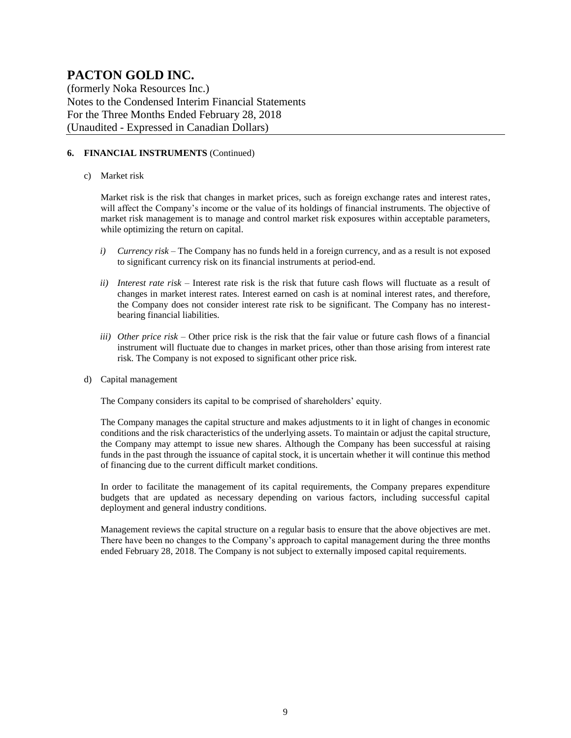(formerly Noka Resources Inc.) Notes to the Condensed Interim Financial Statements For the Three Months Ended February 28, 2018 (Unaudited - Expressed in Canadian Dollars)

#### **6. FINANCIAL INSTRUMENTS** (Continued)

#### c) Market risk

Market risk is the risk that changes in market prices, such as foreign exchange rates and interest rates, will affect the Company's income or the value of its holdings of financial instruments. The objective of market risk management is to manage and control market risk exposures within acceptable parameters, while optimizing the return on capital.

- *i) Currency risk* The Company has no funds held in a foreign currency, and as a result is not exposed to significant currency risk on its financial instruments at period-end.
- *ii) Interest rate risk –* Interest rate risk is the risk that future cash flows will fluctuate as a result of changes in market interest rates. Interest earned on cash is at nominal interest rates, and therefore, the Company does not consider interest rate risk to be significant. The Company has no interestbearing financial liabilities.
- *iii) Other price risk –* Other price risk is the risk that the fair value or future cash flows of a financial instrument will fluctuate due to changes in market prices, other than those arising from interest rate risk. The Company is not exposed to significant other price risk.
- d) Capital management

The Company considers its capital to be comprised of shareholders' equity.

The Company manages the capital structure and makes adjustments to it in light of changes in economic conditions and the risk characteristics of the underlying assets. To maintain or adjust the capital structure, the Company may attempt to issue new shares. Although the Company has been successful at raising funds in the past through the issuance of capital stock, it is uncertain whether it will continue this method of financing due to the current difficult market conditions.

In order to facilitate the management of its capital requirements, the Company prepares expenditure budgets that are updated as necessary depending on various factors, including successful capital deployment and general industry conditions.

Management reviews the capital structure on a regular basis to ensure that the above objectives are met. There have been no changes to the Company's approach to capital management during the three months ended February 28, 2018. The Company is not subject to externally imposed capital requirements.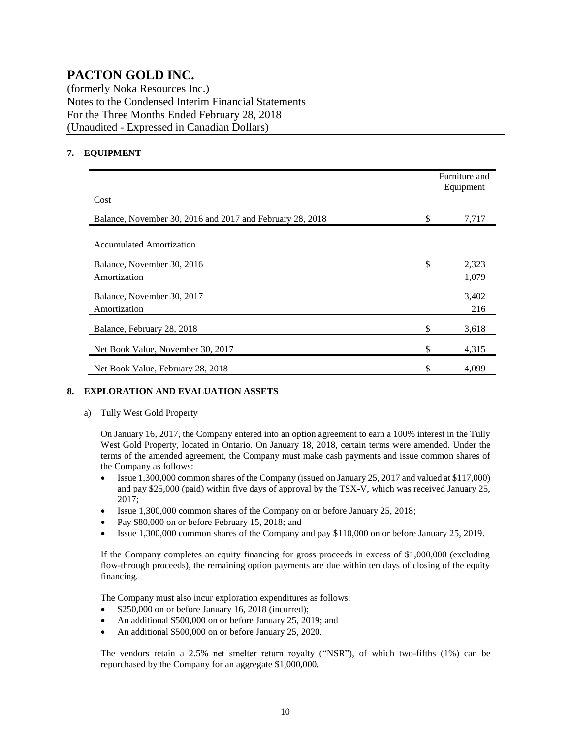(formerly Noka Resources Inc.) Notes to the Condensed Interim Financial Statements For the Three Months Ended February 28, 2018 (Unaudited - Expressed in Canadian Dollars)

#### **7. EQUIPMENT**

|                                                           | Furniture and<br>Equipment |
|-----------------------------------------------------------|----------------------------|
| Cost                                                      |                            |
| Balance, November 30, 2016 and 2017 and February 28, 2018 | \$<br>7,717                |
| Accumulated Amortization                                  |                            |
| Balance, November 30, 2016                                | \$<br>2,323                |
| Amortization                                              | 1,079                      |
| Balance, November 30, 2017<br>Amortization                | 3,402<br>216               |
| Balance, February 28, 2018                                | \$<br>3,618                |
| Net Book Value, November 30, 2017                         | \$<br>4,315                |
| Net Book Value, February 28, 2018                         | \$<br>4,099                |

#### **8. EXPLORATION AND EVALUATION ASSETS**

#### a) Tully West Gold Property

On January 16, 2017, the Company entered into an option agreement to earn a 100% interest in the Tully West Gold Property, located in Ontario. On January 18, 2018, certain terms were amended. Under the terms of the amended agreement, the Company must make cash payments and issue common shares of the Company as follows:

- Issue 1,300,000 common shares of the Company (issued on January 25, 2017 and valued at \$117,000) and pay \$25,000 (paid) within five days of approval by the TSX-V, which was received January 25, 2017;
- Issue 1,300,000 common shares of the Company on or before January 25, 2018;
- Pay \$80,000 on or before February 15, 2018; and
- Issue 1,300,000 common shares of the Company and pay \$110,000 on or before January 25, 2019.

If the Company completes an equity financing for gross proceeds in excess of \$1,000,000 (excluding flow-through proceeds), the remaining option payments are due within ten days of closing of the equity financing.

The Company must also incur exploration expenditures as follows:

- \$250,000 on or before January 16, 2018 (incurred);
- An additional \$500,000 on or before January 25, 2019; and
- An additional \$500,000 on or before January 25, 2020.

The vendors retain a 2.5% net smelter return royalty ("NSR"), of which two-fifths (1%) can be repurchased by the Company for an aggregate \$1,000,000.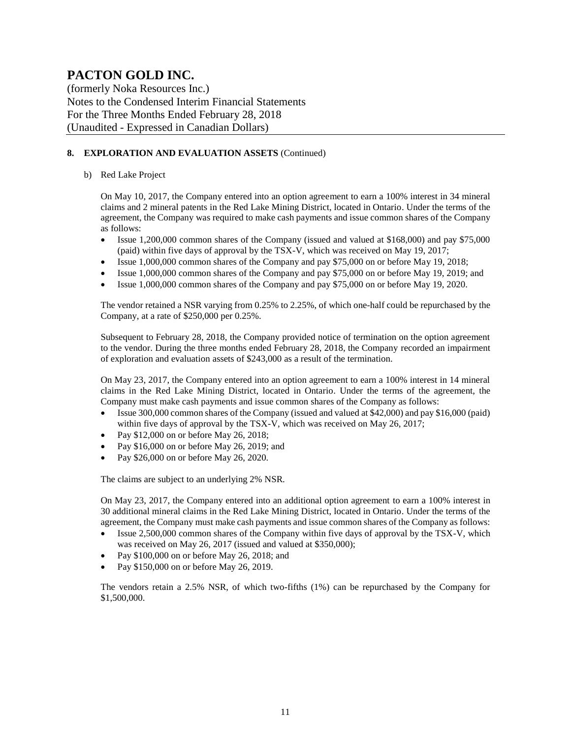(formerly Noka Resources Inc.) Notes to the Condensed Interim Financial Statements For the Three Months Ended February 28, 2018 (Unaudited - Expressed in Canadian Dollars)

#### **8. EXPLORATION AND EVALUATION ASSETS** (Continued)

#### b) Red Lake Project

On May 10, 2017, the Company entered into an option agreement to earn a 100% interest in 34 mineral claims and 2 mineral patents in the Red Lake Mining District, located in Ontario. Under the terms of the agreement, the Company was required to make cash payments and issue common shares of the Company as follows:

- Issue 1,200,000 common shares of the Company (issued and valued at \$168,000) and pay \$75,000 (paid) within five days of approval by the TSX-V, which was received on May 19, 2017;
- Issue 1,000,000 common shares of the Company and pay \$75,000 on or before May 19, 2018;
- Issue 1,000,000 common shares of the Company and pay \$75,000 on or before May 19, 2019; and
- Issue 1,000,000 common shares of the Company and pay \$75,000 on or before May 19, 2020.

The vendor retained a NSR varying from 0.25% to 2.25%, of which one-half could be repurchased by the Company, at a rate of \$250,000 per 0.25%.

Subsequent to February 28, 2018, the Company provided notice of termination on the option agreement to the vendor. During the three months ended February 28, 2018, the Company recorded an impairment of exploration and evaluation assets of \$243,000 as a result of the termination.

On May 23, 2017, the Company entered into an option agreement to earn a 100% interest in 14 mineral claims in the Red Lake Mining District, located in Ontario. Under the terms of the agreement, the Company must make cash payments and issue common shares of the Company as follows:

- Issue 300,000 common shares of the Company (issued and valued at \$42,000) and pay \$16,000 (paid) within five days of approval by the TSX-V, which was received on May 26, 2017;
- Pay \$12,000 on or before May 26, 2018;
- Pay \$16,000 on or before May 26, 2019; and
- Pay \$26,000 on or before May 26, 2020.

The claims are subject to an underlying 2% NSR.

On May 23, 2017, the Company entered into an additional option agreement to earn a 100% interest in 30 additional mineral claims in the Red Lake Mining District, located in Ontario. Under the terms of the agreement, the Company must make cash payments and issue common shares of the Company as follows:

- Issue 2,500,000 common shares of the Company within five days of approval by the TSX-V, which was received on May 26, 2017 (issued and valued at \$350,000);
- Pay \$100,000 on or before May 26, 2018; and
- Pay \$150,000 on or before May 26, 2019.

The vendors retain a 2.5% NSR, of which two-fifths (1%) can be repurchased by the Company for \$1,500,000.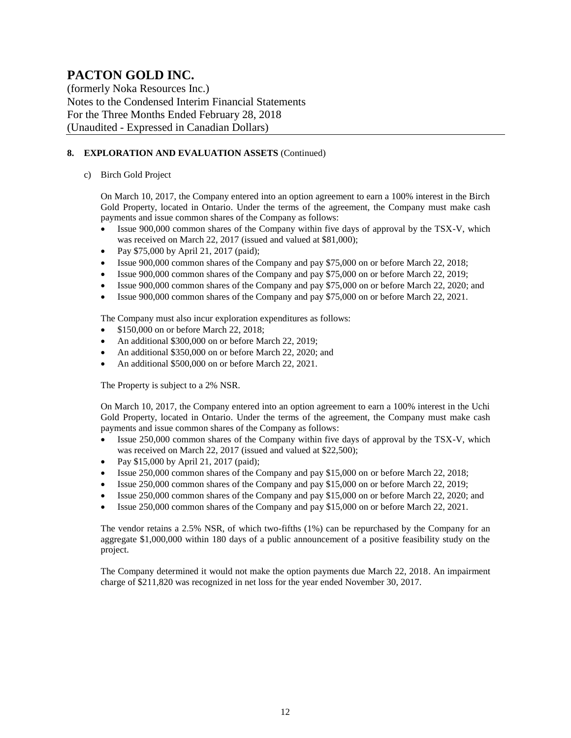(formerly Noka Resources Inc.) Notes to the Condensed Interim Financial Statements For the Three Months Ended February 28, 2018 (Unaudited - Expressed in Canadian Dollars)

#### **8. EXPLORATION AND EVALUATION ASSETS** (Continued)

#### c) Birch Gold Project

On March 10, 2017, the Company entered into an option agreement to earn a 100% interest in the Birch Gold Property, located in Ontario. Under the terms of the agreement, the Company must make cash payments and issue common shares of the Company as follows:

- Issue 900,000 common shares of the Company within five days of approval by the TSX-V, which was received on March 22, 2017 (issued and valued at \$81,000);
- Pay \$75,000 by April 21, 2017 (paid);
- Issue 900,000 common shares of the Company and pay \$75,000 on or before March 22, 2018;
- Issue 900,000 common shares of the Company and pay \$75,000 on or before March 22, 2019;
- Issue 900,000 common shares of the Company and pay \$75,000 on or before March 22, 2020; and
- Issue 900,000 common shares of the Company and pay \$75,000 on or before March 22, 2021.

The Company must also incur exploration expenditures as follows:

- \$150,000 on or before March 22, 2018:
- An additional \$300,000 on or before March 22, 2019;
- An additional \$350,000 on or before March 22, 2020; and
- An additional \$500,000 on or before March 22, 2021.

The Property is subject to a 2% NSR.

On March 10, 2017, the Company entered into an option agreement to earn a 100% interest in the Uchi Gold Property, located in Ontario. Under the terms of the agreement, the Company must make cash payments and issue common shares of the Company as follows:

- Issue 250,000 common shares of the Company within five days of approval by the TSX-V, which was received on March 22, 2017 (issued and valued at \$22,500);
- Pay \$15,000 by April 21, 2017 (paid);
- Issue 250,000 common shares of the Company and pay \$15,000 on or before March 22, 2018;
- Issue 250,000 common shares of the Company and pay \$15,000 on or before March 22, 2019;
- Issue 250,000 common shares of the Company and pay \$15,000 on or before March 22, 2020; and
- Issue 250,000 common shares of the Company and pay \$15,000 on or before March 22, 2021.

The vendor retains a 2.5% NSR, of which two-fifths (1%) can be repurchased by the Company for an aggregate \$1,000,000 within 180 days of a public announcement of a positive feasibility study on the project.

The Company determined it would not make the option payments due March 22, 2018. An impairment charge of \$211,820 was recognized in net loss for the year ended November 30, 2017.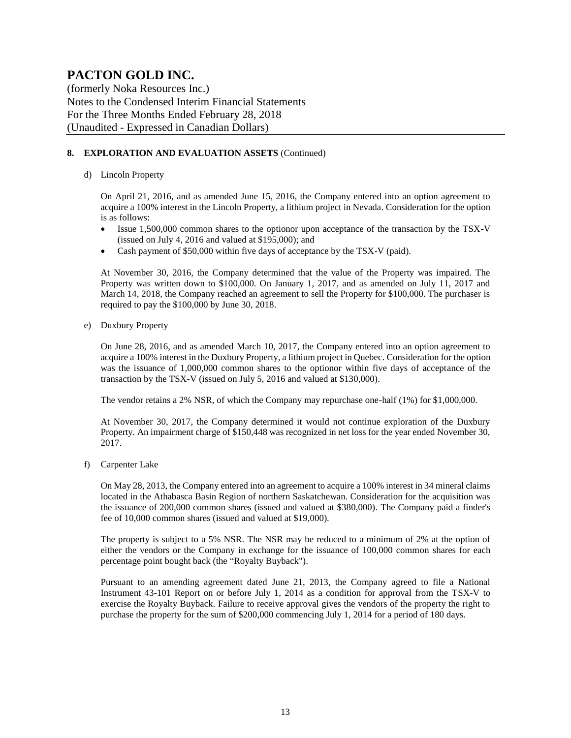(formerly Noka Resources Inc.) Notes to the Condensed Interim Financial Statements For the Three Months Ended February 28, 2018 (Unaudited - Expressed in Canadian Dollars)

#### **8. EXPLORATION AND EVALUATION ASSETS** (Continued)

#### d) Lincoln Property

On April 21, 2016, and as amended June 15, 2016, the Company entered into an option agreement to acquire a 100% interest in the Lincoln Property, a lithium project in Nevada. Consideration for the option is as follows:

- Issue 1,500,000 common shares to the optionor upon acceptance of the transaction by the TSX-V (issued on July 4, 2016 and valued at \$195,000); and
- Cash payment of \$50,000 within five days of acceptance by the TSX-V (paid).

At November 30, 2016, the Company determined that the value of the Property was impaired. The Property was written down to \$100,000. On January 1, 2017, and as amended on July 11, 2017 and March 14, 2018, the Company reached an agreement to sell the Property for \$100,000. The purchaser is required to pay the \$100,000 by June 30, 2018.

e) Duxbury Property

On June 28, 2016, and as amended March 10, 2017, the Company entered into an option agreement to acquire a 100% interest in the Duxbury Property, a lithium project in Quebec. Consideration for the option was the issuance of 1,000,000 common shares to the optionor within five days of acceptance of the transaction by the TSX-V (issued on July 5, 2016 and valued at \$130,000).

The vendor retains a 2% NSR, of which the Company may repurchase one-half (1%) for \$1,000,000.

At November 30, 2017, the Company determined it would not continue exploration of the Duxbury Property. An impairment charge of \$150,448 was recognized in net loss for the year ended November 30, 2017.

f) Carpenter Lake

On May 28, 2013, the Company entered into an agreement to acquire a 100% interest in 34 mineral claims located in the Athabasca Basin Region of northern Saskatchewan. Consideration for the acquisition was the issuance of 200,000 common shares (issued and valued at \$380,000). The Company paid a finder's fee of 10,000 common shares (issued and valued at \$19,000).

The property is subject to a 5% NSR. The NSR may be reduced to a minimum of 2% at the option of either the vendors or the Company in exchange for the issuance of 100,000 common shares for each percentage point bought back (the "Royalty Buyback").

Pursuant to an amending agreement dated June 21, 2013, the Company agreed to file a National Instrument 43-101 Report on or before July 1, 2014 as a condition for approval from the TSX-V to exercise the Royalty Buyback. Failure to receive approval gives the vendors of the property the right to purchase the property for the sum of \$200,000 commencing July 1, 2014 for a period of 180 days.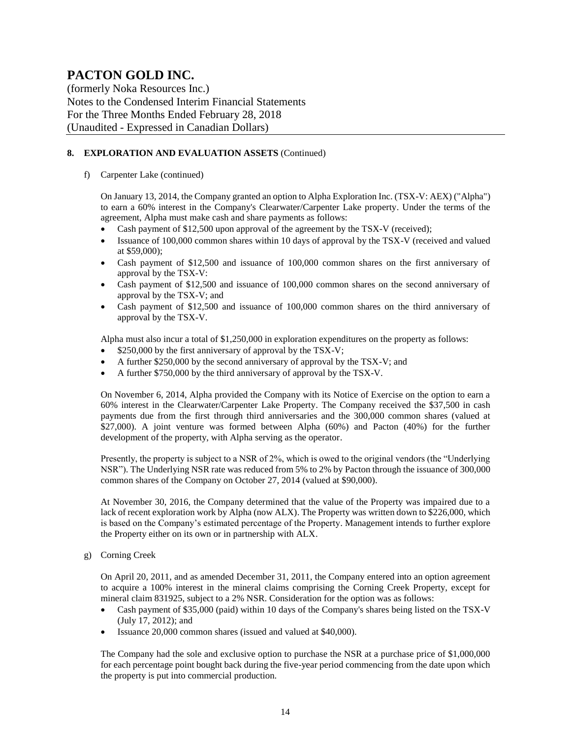(formerly Noka Resources Inc.) Notes to the Condensed Interim Financial Statements For the Three Months Ended February 28, 2018 (Unaudited - Expressed in Canadian Dollars)

#### **8. EXPLORATION AND EVALUATION ASSETS** (Continued)

f) Carpenter Lake (continued)

On January 13, 2014, the Company granted an option to Alpha Exploration Inc. (TSX-V: AEX) ("Alpha") to earn a 60% interest in the Company's Clearwater/Carpenter Lake property. Under the terms of the agreement, Alpha must make cash and share payments as follows:

- Cash payment of \$12,500 upon approval of the agreement by the TSX-V (received);
- Issuance of 100,000 common shares within 10 days of approval by the TSX-V (received and valued at \$59,000);
- Cash payment of \$12,500 and issuance of 100,000 common shares on the first anniversary of approval by the TSX-V:
- Cash payment of \$12,500 and issuance of 100,000 common shares on the second anniversary of approval by the TSX-V; and
- Cash payment of \$12,500 and issuance of 100,000 common shares on the third anniversary of approval by the TSX-V.

Alpha must also incur a total of \$1,250,000 in exploration expenditures on the property as follows:

- \$250,000 by the first anniversary of approval by the TSX-V;
- A further \$250,000 by the second anniversary of approval by the TSX-V; and
- A further \$750,000 by the third anniversary of approval by the TSX-V.

On November 6, 2014, Alpha provided the Company with its Notice of Exercise on the option to earn a 60% interest in the Clearwater/Carpenter Lake Property. The Company received the \$37,500 in cash payments due from the first through third anniversaries and the 300,000 common shares (valued at \$27,000). A joint venture was formed between Alpha (60%) and Pacton (40%) for the further development of the property, with Alpha serving as the operator.

Presently, the property is subject to a NSR of 2%, which is owed to the original vendors (the "Underlying NSR"). The Underlying NSR rate was reduced from 5% to 2% by Pacton through the issuance of 300,000 common shares of the Company on October 27, 2014 (valued at \$90,000).

At November 30, 2016, the Company determined that the value of the Property was impaired due to a lack of recent exploration work by Alpha (now ALX). The Property was written down to \$226,000, which is based on the Company's estimated percentage of the Property. Management intends to further explore the Property either on its own or in partnership with ALX.

g) Corning Creek

On April 20, 2011, and as amended December 31, 2011, the Company entered into an option agreement to acquire a 100% interest in the mineral claims comprising the Corning Creek Property, except for mineral claim 831925, subject to a 2% NSR. Consideration for the option was as follows:

- Cash payment of \$35,000 (paid) within 10 days of the Company's shares being listed on the TSX-V (July 17, 2012); and
- Issuance 20,000 common shares (issued and valued at \$40,000).

The Company had the sole and exclusive option to purchase the NSR at a purchase price of \$1,000,000 for each percentage point bought back during the five-year period commencing from the date upon which the property is put into commercial production.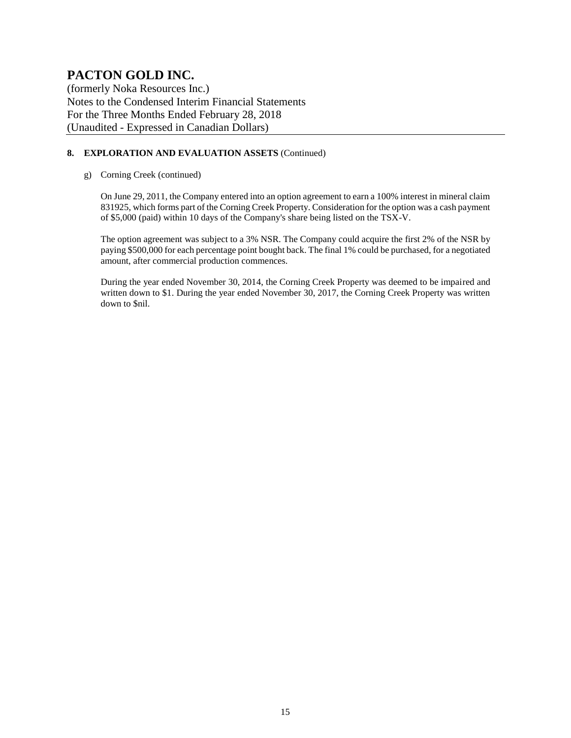(formerly Noka Resources Inc.) Notes to the Condensed Interim Financial Statements For the Three Months Ended February 28, 2018 (Unaudited - Expressed in Canadian Dollars)

#### **8. EXPLORATION AND EVALUATION ASSETS** (Continued)

g) Corning Creek (continued)

On June 29, 2011, the Company entered into an option agreement to earn a 100% interest in mineral claim 831925, which forms part of the Corning Creek Property. Consideration for the option was a cash payment of \$5,000 (paid) within 10 days of the Company's share being listed on the TSX-V.

The option agreement was subject to a 3% NSR. The Company could acquire the first 2% of the NSR by paying \$500,000 for each percentage point bought back. The final 1% could be purchased, for a negotiated amount, after commercial production commences.

During the year ended November 30, 2014, the Corning Creek Property was deemed to be impaired and written down to \$1. During the year ended November 30, 2017, the Corning Creek Property was written down to \$nil.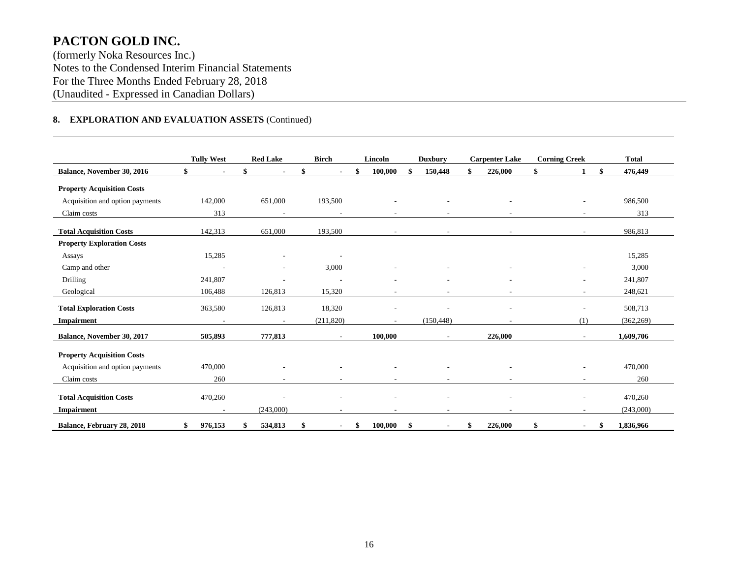(formerly Noka Resources Inc.) Notes to the Condensed Interim Financial Statements For the Three Months Ended February 28, 2018 (Unaudited - Expressed in Canadian Dollars)

#### **8. EXPLORATION AND EVALUATION ASSETS** (Continued)

|                                   | <b>Tully West</b>        | <b>Red Lake</b>          | <b>Birch</b>             | Lincoln       | <b>Duxbury</b>         | <b>Carpenter Lake</b>    | <b>Corning Creek</b>     | <b>Total</b>   |
|-----------------------------------|--------------------------|--------------------------|--------------------------|---------------|------------------------|--------------------------|--------------------------|----------------|
| Balance, November 30, 2016        | \$                       |                          | $\blacksquare$           | 100,000       | 150,448                | 226,000                  | \$<br>$\mathbf{1}$       | 476,449<br>S.  |
| <b>Property Acquisition Costs</b> |                          |                          |                          |               |                        |                          |                          |                |
| Acquisition and option payments   | 142,000                  | 651,000                  | 193,500                  |               |                        |                          |                          | 986,500        |
| Claim costs                       | 313                      |                          |                          | $\sim$        | ٠                      |                          |                          | 313            |
| <b>Total Acquisition Costs</b>    | 142,313                  | 651,000                  | 193,500                  |               |                        |                          |                          | 986,813        |
| <b>Property Exploration Costs</b> |                          |                          |                          |               |                        |                          |                          |                |
| Assays                            | 15,285                   |                          |                          |               |                        |                          |                          | 15,285         |
| Camp and other                    |                          |                          | 3,000                    |               |                        |                          |                          | 3,000          |
| Drilling                          | 241,807                  | ٠                        | $\overline{\phantom{a}}$ |               | ٠                      |                          | $\overline{\phantom{a}}$ | 241,807        |
| Geological                        | 106,488                  | 126,813                  | 15,320                   |               | ٠                      |                          | $\overline{\phantom{a}}$ | 248,621        |
| <b>Total Exploration Costs</b>    | 363,580                  | 126,813                  | 18,320                   |               | $\overline{a}$         | $\overline{\phantom{a}}$ |                          | 508,713        |
| Impairment                        | $\overline{\phantom{a}}$ | $\overline{\phantom{a}}$ | (211, 820)               |               | (150, 448)             |                          | (1)                      | (362, 269)     |
| Balance, November 30, 2017        | 505,893                  | 777,813                  | $\overline{\phantom{a}}$ | 100,000       |                        | 226,000                  |                          | 1,609,706      |
| <b>Property Acquisition Costs</b> |                          |                          |                          |               |                        |                          |                          |                |
| Acquisition and option payments   | 470,000                  |                          |                          |               |                        |                          |                          | 470,000        |
| Claim costs                       | 260                      |                          |                          |               |                        |                          |                          | 260            |
| <b>Total Acquisition Costs</b>    | 470,260                  |                          |                          |               |                        |                          |                          | 470,260        |
| <b>Impairment</b>                 | $\overline{a}$           | (243,000)                |                          |               |                        |                          |                          | (243,000)      |
| Balance, February 28, 2018        | 976,153<br>\$            | 534,813<br>\$            | \$                       | 100,000<br>\$ | - \$<br>$\blacksquare$ | 226,000<br>\$            | \$<br>$\blacksquare$     | 1,836,966<br>S |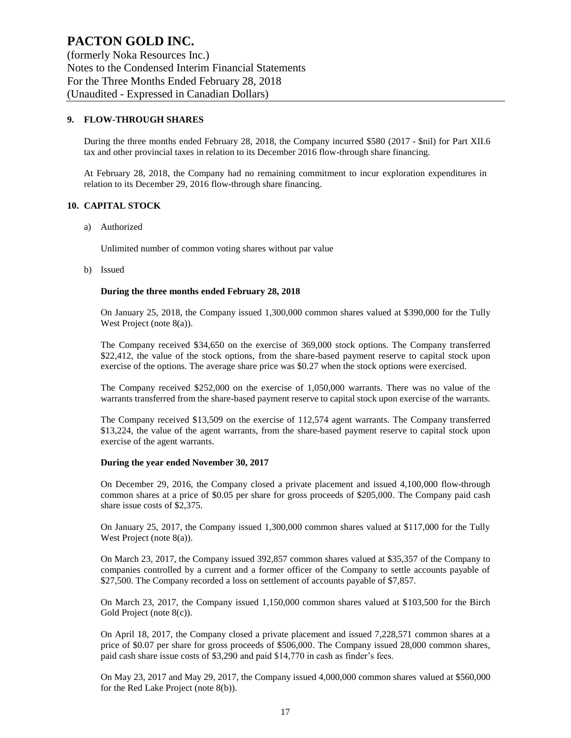(formerly Noka Resources Inc.) Notes to the Condensed Interim Financial Statements For the Three Months Ended February 28, 2018 (Unaudited - Expressed in Canadian Dollars)

#### **9. FLOW-THROUGH SHARES**

During the three months ended February 28, 2018, the Company incurred \$580 (2017 - \$nil) for Part XII.6 tax and other provincial taxes in relation to its December 2016 flow-through share financing.

At February 28, 2018, the Company had no remaining commitment to incur exploration expenditures in relation to its December 29, 2016 flow-through share financing.

#### **10. CAPITAL STOCK**

a) Authorized

Unlimited number of common voting shares without par value

b) Issued

#### **During the three months ended February 28, 2018**

On January 25, 2018, the Company issued 1,300,000 common shares valued at \$390,000 for the Tully West Project (note 8(a)).

The Company received \$34,650 on the exercise of 369,000 stock options. The Company transferred \$22,412, the value of the stock options, from the share-based payment reserve to capital stock upon exercise of the options. The average share price was \$0.27 when the stock options were exercised.

The Company received \$252,000 on the exercise of 1,050,000 warrants. There was no value of the warrants transferred from the share-based payment reserve to capital stock upon exercise of the warrants.

The Company received \$13,509 on the exercise of 112,574 agent warrants. The Company transferred \$13,224, the value of the agent warrants, from the share-based payment reserve to capital stock upon exercise of the agent warrants.

#### **During the year ended November 30, 2017**

On December 29, 2016, the Company closed a private placement and issued 4,100,000 flow-through common shares at a price of \$0.05 per share for gross proceeds of \$205,000. The Company paid cash share issue costs of \$2,375.

On January 25, 2017, the Company issued 1,300,000 common shares valued at \$117,000 for the Tully West Project (note 8(a)).

On March 23, 2017, the Company issued 392,857 common shares valued at \$35,357 of the Company to companies controlled by a current and a former officer of the Company to settle accounts payable of \$27,500. The Company recorded a loss on settlement of accounts payable of \$7,857.

On March 23, 2017, the Company issued 1,150,000 common shares valued at \$103,500 for the Birch Gold Project (note 8(c)).

On April 18, 2017, the Company closed a private placement and issued 7,228,571 common shares at a price of \$0.07 per share for gross proceeds of \$506,000. The Company issued 28,000 common shares, paid cash share issue costs of \$3,290 and paid \$14,770 in cash as finder's fees.

On May 23, 2017 and May 29, 2017, the Company issued 4,000,000 common shares valued at \$560,000 for the Red Lake Project (note 8(b)).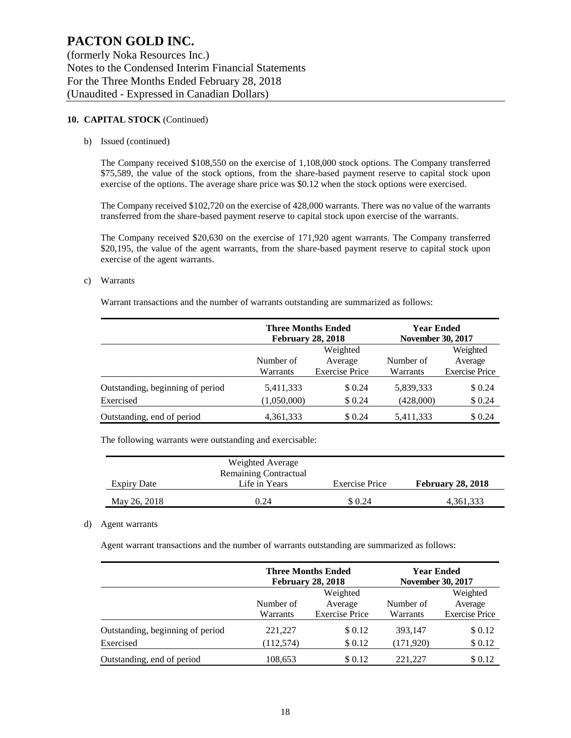#### **10. CAPITAL STOCK** (Continued)

b) Issued (continued)

The Company received \$108,550 on the exercise of 1,108,000 stock options. The Company transferred \$75,589, the value of the stock options, from the share-based payment reserve to capital stock upon exercise of the options. The average share price was \$0.12 when the stock options were exercised.

The Company received \$102,720 on the exercise of 428,000 warrants. There was no value of the warrants transferred from the share-based payment reserve to capital stock upon exercise of the warrants.

The Company received \$20,630 on the exercise of 171,920 agent warrants. The Company transferred \$20,195, the value of the agent warrants, from the share-based payment reserve to capital stock upon exercise of the agent warrants.

#### c) Warrants

Warrant transactions and the number of warrants outstanding are summarized as follows:

|                                  | <b>Three Months Ended</b><br><b>February 28, 2018</b> |                       | <b>Year Ended</b><br><b>November 30, 2017</b> |                       |
|----------------------------------|-------------------------------------------------------|-----------------------|-----------------------------------------------|-----------------------|
|                                  |                                                       | Weighted              |                                               | Weighted              |
|                                  | Number of                                             | Average               | Number of                                     | Average               |
|                                  | Warrants                                              | <b>Exercise Price</b> | Warrants                                      | <b>Exercise Price</b> |
| Outstanding, beginning of period | 5,411,333                                             | \$0.24                | 5,839,333                                     | \$0.24                |
| Exercised                        | (1,050,000)                                           | \$0.24                | (428,000)                                     | \$0.24                |
| Outstanding, end of period       | 4,361,333                                             | \$0.24                | 5,411,333                                     | \$0.24                |

The following warrants were outstanding and exercisable:

|              | Weighted Average             |                       |                          |
|--------------|------------------------------|-----------------------|--------------------------|
|              | <b>Remaining Contractual</b> |                       |                          |
| Expiry Date  | Life in Years                | <b>Exercise Price</b> | <b>February 28, 2018</b> |
| May 26, 2018 | 0.24                         | \$0.24                | 4,361,333                |

#### d) Agent warrants

Agent warrant transactions and the number of warrants outstanding are summarized as follows:

|                                  |            | <b>Three Months Ended</b><br><b>February 28, 2018</b> | <b>November 30, 2017</b> | <b>Year Ended</b>     |
|----------------------------------|------------|-------------------------------------------------------|--------------------------|-----------------------|
|                                  |            | Weighted                                              |                          | Weighted              |
|                                  | Number of  | Average                                               | Number of                | Average               |
|                                  | Warrants   | <b>Exercise Price</b>                                 | Warrants                 | <b>Exercise Price</b> |
| Outstanding, beginning of period | 221,227    | \$0.12                                                | 393,147                  | \$0.12                |
| Exercised                        | (112, 574) | \$0.12                                                | (171, 920)               | \$0.12                |
| Outstanding, end of period       | 108,653    | \$0.12                                                | 221.227                  | \$0.12                |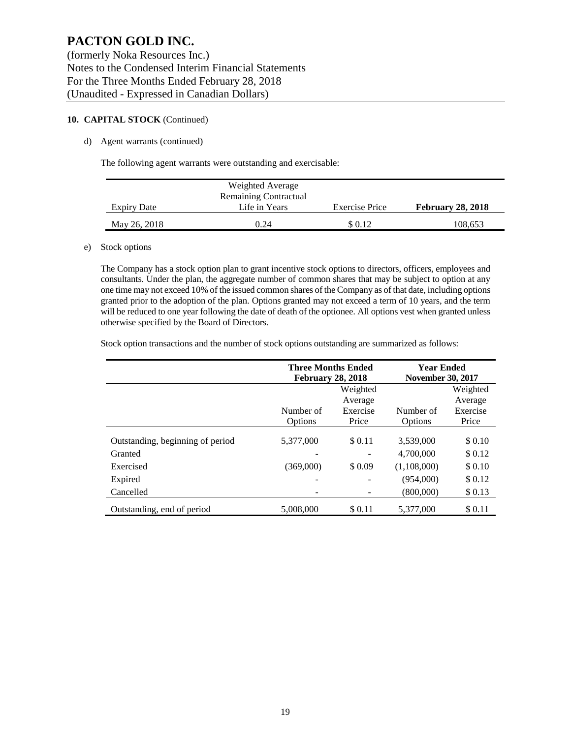#### **10. CAPITAL STOCK** (Continued)

#### d) Agent warrants (continued)

The following agent warrants were outstanding and exercisable:

|                    | Weighted Average      |                       |                          |
|--------------------|-----------------------|-----------------------|--------------------------|
|                    | Remaining Contractual |                       |                          |
| <b>Expiry Date</b> | Life in Years         | <b>Exercise Price</b> | <b>February 28, 2018</b> |
| May 26, 2018       | 0.24                  | \$0.12                | 108.653                  |

#### e) Stock options

The Company has a stock option plan to grant incentive stock options to directors, officers, employees and consultants. Under the plan, the aggregate number of common shares that may be subject to option at any one time may not exceed 10% of the issued common shares of the Company as of that date, including options granted prior to the adoption of the plan. Options granted may not exceed a term of 10 years, and the term will be reduced to one year following the date of death of the optionee. All options vest when granted unless otherwise specified by the Board of Directors.

Stock option transactions and the number of stock options outstanding are summarized as follows:

|                                  | <b>Three Months Ended</b><br><b>February 28, 2018</b> |          | <b>Year Ended</b><br><b>November 30, 2017</b> |          |  |
|----------------------------------|-------------------------------------------------------|----------|-----------------------------------------------|----------|--|
|                                  |                                                       | Weighted |                                               | Weighted |  |
|                                  |                                                       | Average  |                                               | Average  |  |
|                                  | Number of                                             | Exercise | Number of                                     | Exercise |  |
|                                  | Options                                               | Price    | Price                                         |          |  |
| Outstanding, beginning of period | 5,377,000                                             | \$0.11   | 3,539,000                                     | \$ 0.10  |  |
| Granted                          |                                                       |          | 4,700,000                                     | \$0.12   |  |
| Exercised                        | (369,000)                                             | \$0.09   | (1,108,000)                                   | \$0.10   |  |
| Expired                          | -                                                     |          | (954,000)                                     | \$0.12   |  |
| Cancelled                        |                                                       |          | (800,000)                                     | \$0.13   |  |
| Outstanding, end of period       | 5.008.000                                             | \$0.11   | 5.377,000                                     | \$0.11   |  |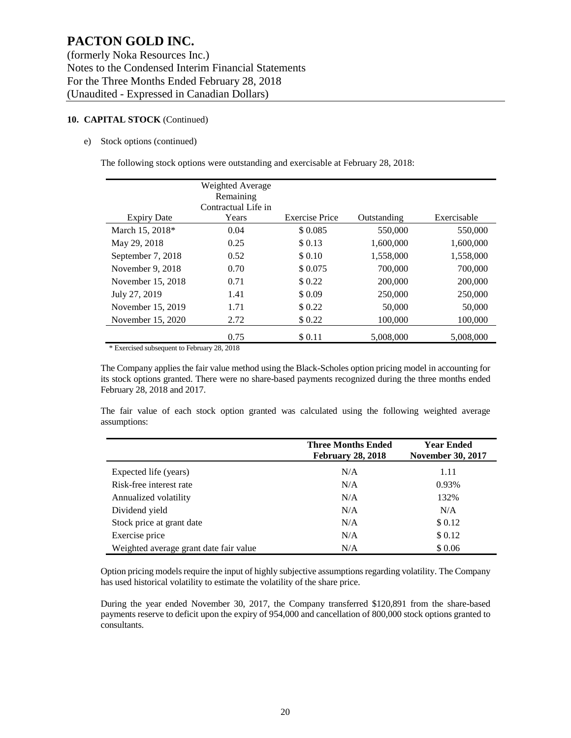#### **10. CAPITAL STOCK** (Continued)

#### e) Stock options (continued)

The following stock options were outstanding and exercisable at February 28, 2018:

|                    | <b>Weighted Average</b><br>Remaining<br>Contractual Life in |                       |             |             |
|--------------------|-------------------------------------------------------------|-----------------------|-------------|-------------|
| <b>Expiry Date</b> | Years                                                       | <b>Exercise Price</b> | Outstanding | Exercisable |
| March 15, 2018*    | 0.04                                                        | \$0.085               | 550,000     | 550,000     |
| May 29, 2018       | 0.25                                                        | \$0.13                | 1,600,000   | 1,600,000   |
| September 7, 2018  | 0.52                                                        | \$0.10                | 1.558.000   | 1,558,000   |
| November 9, 2018   | 0.70                                                        | \$0.075               | 700,000     | 700,000     |
| November 15, 2018  | 0.71                                                        | \$0.22                | 200,000     | 200,000     |
| July 27, 2019      | 1.41                                                        | \$0.09                | 250,000     | 250,000     |
| November 15, 2019  | 1.71                                                        | \$0.22                | 50,000      | 50,000      |
| November 15, 2020  | 2.72                                                        | \$0.22                | 100,000     | 100,000     |
|                    | 0.75                                                        | \$0.11                | 5,008,000   | 5,008,000   |
|                    |                                                             |                       |             |             |

\* Exercised subsequent to February 28, 2018

The Company applies the fair value method using the Black-Scholes option pricing model in accounting for its stock options granted. There were no share-based payments recognized during the three months ended February 28, 2018 and 2017.

The fair value of each stock option granted was calculated using the following weighted average assumptions:

|                                        | <b>Three Months Ended</b><br><b>February 28, 2018</b> |        |  |  |
|----------------------------------------|-------------------------------------------------------|--------|--|--|
| Expected life (years)                  | N/A                                                   | 1.11   |  |  |
| Risk-free interest rate                | N/A                                                   | 0.93%  |  |  |
| Annualized volatility                  | N/A                                                   | 132%   |  |  |
| Dividend yield                         | N/A                                                   | N/A    |  |  |
| Stock price at grant date              | N/A                                                   | \$0.12 |  |  |
| Exercise price                         | N/A                                                   | \$0.12 |  |  |
| Weighted average grant date fair value | N/A                                                   | \$0.06 |  |  |

Option pricing models require the input of highly subjective assumptions regarding volatility. The Company has used historical volatility to estimate the volatility of the share price.

During the year ended November 30, 2017, the Company transferred \$120,891 from the share-based payments reserve to deficit upon the expiry of 954,000 and cancellation of 800,000 stock options granted to consultants.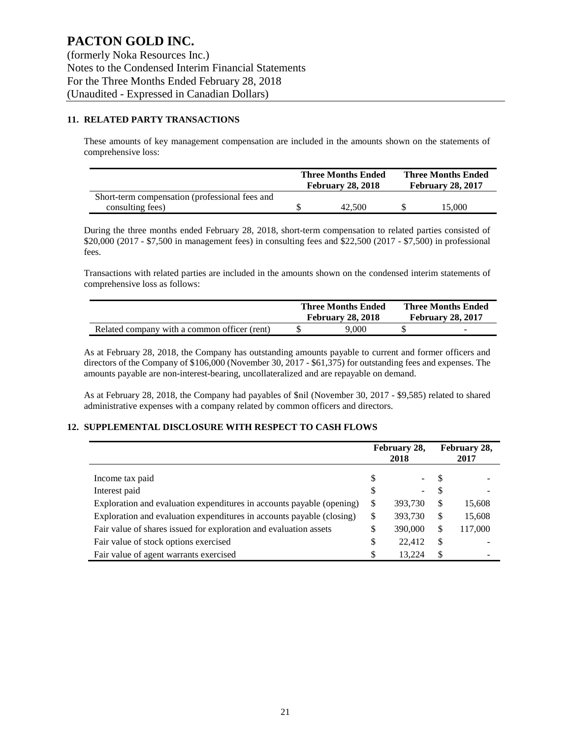#### **11. RELATED PARTY TRANSACTIONS**

These amounts of key management compensation are included in the amounts shown on the statements of comprehensive loss:

|                                                | <b>Three Months Ended</b><br><b>February 28, 2018</b> | <b>Three Months Ended</b><br><b>February 28, 2017</b> |        |  |
|------------------------------------------------|-------------------------------------------------------|-------------------------------------------------------|--------|--|
| Short-term compensation (professional fees and |                                                       |                                                       |        |  |
| consulting fees)                               | 42,500                                                |                                                       | 15.000 |  |

During the three months ended February 28, 2018, short-term compensation to related parties consisted of \$20,000 (2017 - \$7,500 in management fees) in consulting fees and \$22,500 (2017 - \$7,500) in professional fees.

Transactions with related parties are included in the amounts shown on the condensed interim statements of comprehensive loss as follows:

|                                              | <b>Three Months Ended</b><br><b>February 28, 2018</b> | <b>Three Months Ended</b><br><b>February 28, 2017</b> |   |  |
|----------------------------------------------|-------------------------------------------------------|-------------------------------------------------------|---|--|
| Related company with a common officer (rent) | 9.000                                                 |                                                       | - |  |

As at February 28, 2018, the Company has outstanding amounts payable to current and former officers and directors of the Company of \$106,000 (November 30, 2017 - \$61,375) for outstanding fees and expenses. The amounts payable are non-interest-bearing, uncollateralized and are repayable on demand.

As at February 28, 2018, the Company had payables of \$nil (November 30, 2017 - \$9,585) related to shared administrative expenses with a company related by common officers and directors.

#### **12. SUPPLEMENTAL DISCLOSURE WITH RESPECT TO CASH FLOWS**

|                                                                       | February 28,<br>2018 |         | February 28,<br>2017 |         |
|-----------------------------------------------------------------------|----------------------|---------|----------------------|---------|
| Income tax paid                                                       | S                    | Ξ.      | -S                   |         |
| Interest paid                                                         | \$                   | -       | -S                   |         |
| Exploration and evaluation expenditures in accounts payable (opening) | S                    | 393,730 | S                    | 15,608  |
| Exploration and evaluation expenditures in accounts payable (closing) | \$                   | 393,730 | \$                   | 15,608  |
| Fair value of shares issued for exploration and evaluation assets     | \$                   | 390,000 | S                    | 117,000 |
| Fair value of stock options exercised                                 | \$                   | 22,412  | \$                   |         |
| Fair value of agent warrants exercised                                | S                    | 13.224  | S                    |         |